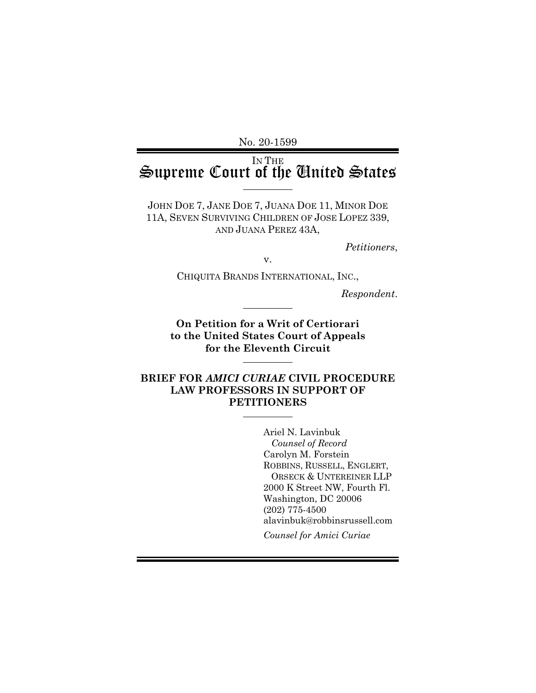No. 20-1599

## IN THE Supreme Court of the United States

JOHN DOE 7, JANE DOE 7, JUANA DOE 11, MINOR DOE 11A, SEVEN SURVIVING CHILDREN OF JOSE LOPEZ 339, AND JUANA PEREZ 43A,

*Petitioners*,

v.

CHIQUITA BRANDS INTERNATIONAL, INC.,

*Respondent*.

**On Petition for a Writ of Certiorari to the United States Court of Appeals for the Eleventh Circuit**

#### **BRIEF FOR** *AMICI CURIAE* **CIVIL PROCEDURE LAW PROFESSORS IN SUPPORT OF PETITIONERS**

Ariel N. Lavinbuk *Counsel of Record* Carolyn M. Forstein ROBBINS, RUSSELL, ENGLERT, ORSECK & UNTEREINER LLP 2000 K Street NW, Fourth Fl. Washington, DC 20006 (202) 775-4500 alavinbuk@robbinsrussell.com *Counsel for Amici Curiae*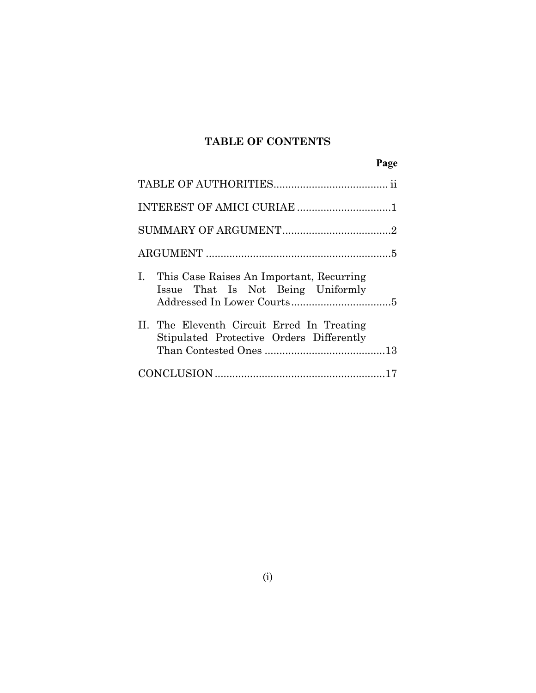## **TABLE OF CONTENTS**

**Page**

| I. This Case Raises An Important, Recurring<br>Issue That Is Not Being Uniformly       |  |
|----------------------------------------------------------------------------------------|--|
| II. The Eleventh Circuit Erred In Treating<br>Stipulated Protective Orders Differently |  |
|                                                                                        |  |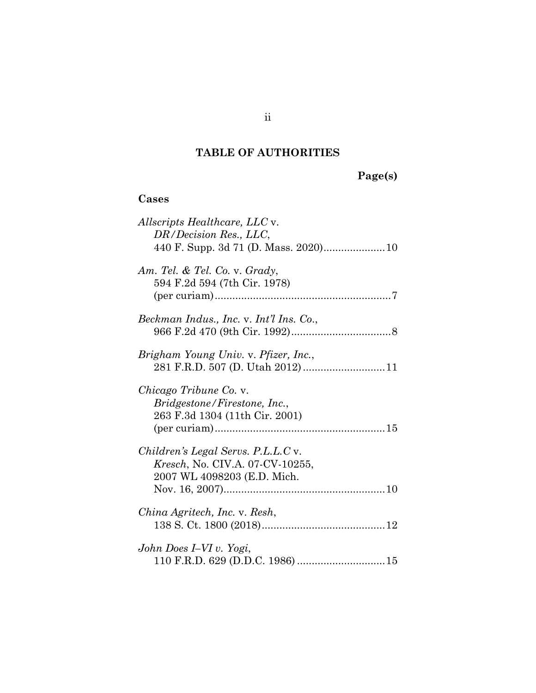# **TABLE OF AUTHORITIES**

# <span id="page-2-0"></span>**Page(s)**

### **Cases**

| <i>Allscripts Healthcare, LLC v.</i><br>DR/Decision Res., LLC,                                               |
|--------------------------------------------------------------------------------------------------------------|
| Am. Tel. & Tel. Co. v. Grady,<br>594 F.2d 594 (7th Cir. 1978)                                                |
| Beckman Indus., Inc. v. Int'l Ins. Co.,                                                                      |
| Brigham Young Univ. v. Pfizer, Inc.,                                                                         |
| <i>Chicago Tribune Co. v.</i><br><i>Bridgestone/Firestone, Inc.,</i><br>263 F.3d 1304 (11th Cir. 2001)       |
| Children's Legal Servs. P.L.L.C v.<br><i>Kresch</i> , No. CIV.A. 07-CV-10255,<br>2007 WL 4098203 (E.D. Mich. |
| China Agritech, Inc. v. Resh,                                                                                |
| John Does I–VI v. Yogi,<br>110 F.R.D. 629 (D.D.C. 1986)  15                                                  |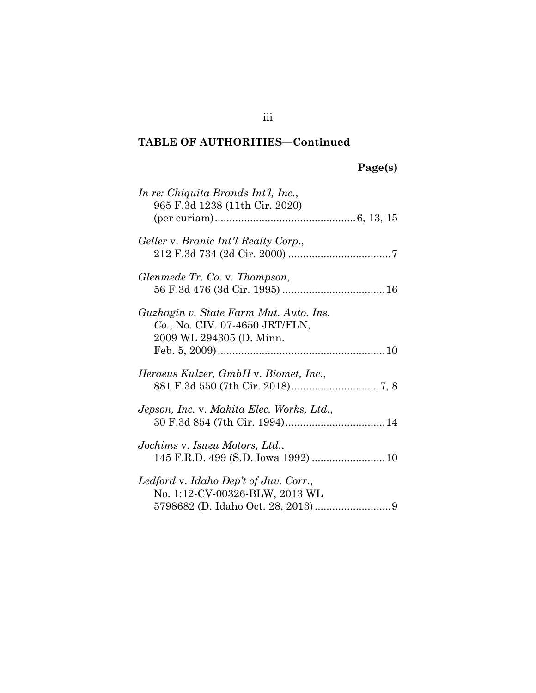# **Page(s)**

| In re: Chiquita Brands Int'l, Inc.,<br>965 F.3d 1238 (11th Cir. 2020)                                |
|------------------------------------------------------------------------------------------------------|
| Geller v. Branic Int'l Realty Corp.,                                                                 |
| Glenmede Tr. Co. v. Thompson,                                                                        |
| Guzhagin v. State Farm Mut. Auto. Ins.<br>Co., No. CIV. 07-4650 JRT/FLN,<br>2009 WL 294305 (D. Minn. |
| Heraeus Kulzer, GmbH v. Biomet, Inc.,                                                                |
| Jepson, Inc. v. Makita Elec. Works, Ltd.,                                                            |
| Jochims v. Isuzu Motors, Ltd.,                                                                       |
| Ledford v. Idaho Dep't of Juv. Corr.,<br>No. 1:12-CV-00326-BLW, 2013 WL                              |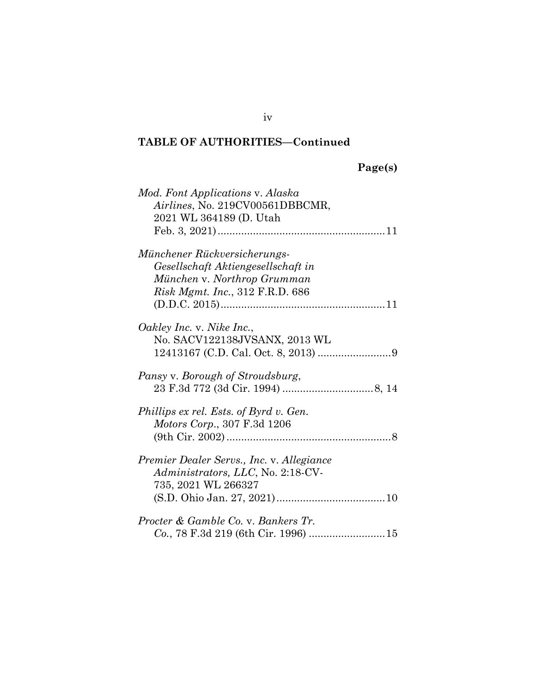# **Page(s)**

| Mod. Font Applications v. Alaska          |  |
|-------------------------------------------|--|
| Airlines, No. 219CV00561DBBCMR,           |  |
| 2021 WL 364189 (D. Utah                   |  |
|                                           |  |
| Münchener Rückversicherungs-              |  |
|                                           |  |
| Gesellschaft Aktiengesellschaft in        |  |
| München v. Northrop Grumman               |  |
| <i>Risk Mgmt. Inc.</i> , 312 F.R.D. 686   |  |
|                                           |  |
| Oakley Inc. v. Nike Inc.,                 |  |
| No. SACV122138JVSANX, 2013 WL             |  |
|                                           |  |
|                                           |  |
| Pansy v. Borough of Stroudsburg,          |  |
|                                           |  |
|                                           |  |
| Phillips ex rel. Ests. of Byrd v. Gen.    |  |
| Motors Corp., 307 F.3d 1206               |  |
|                                           |  |
|                                           |  |
| Premier Dealer Servs., Inc. v. Allegiance |  |
| Administrators, LLC, No. 2:18-CV-         |  |
| 735, 2021 WL 266327                       |  |
|                                           |  |
|                                           |  |
| Procter & Gamble Co. v. Bankers Tr.       |  |
|                                           |  |
|                                           |  |

iv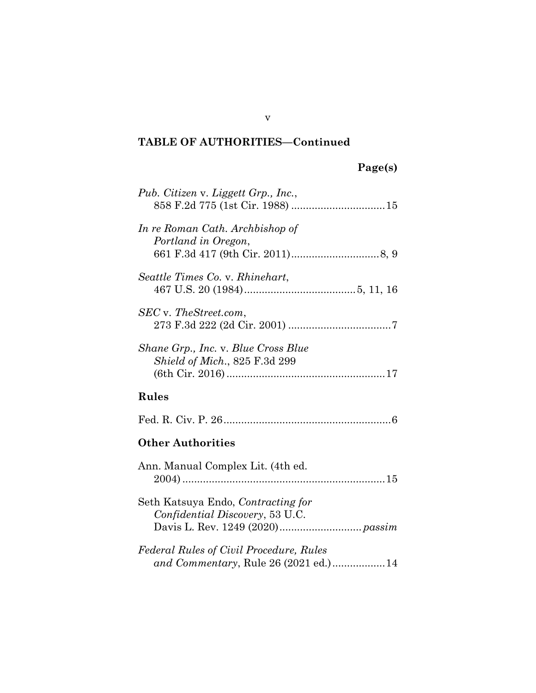# **Page(s)**

| Pub. Citizen v. Liggett Grp., Inc.,                                             |
|---------------------------------------------------------------------------------|
| In re Roman Cath. Archbishop of<br>Portland in Oregon,                          |
| Seattle Times Co. v. Rhinehart,                                                 |
| SEC v. TheStreet.com,                                                           |
| Shane Grp., Inc. v. Blue Cross Blue<br><i>Shield of Mich.</i> , 825 F.3d 299    |
| Rules                                                                           |
|                                                                                 |
| <b>Other Authorities</b>                                                        |
| Ann. Manual Complex Lit. (4th ed.)                                              |
| Seth Katsuya Endo, Contracting for<br>Confidential Discovery, 53 U.C.           |
| Federal Rules of Civil Procedure, Rules<br>and Commentary, Rule 26 (2021 ed.)14 |

v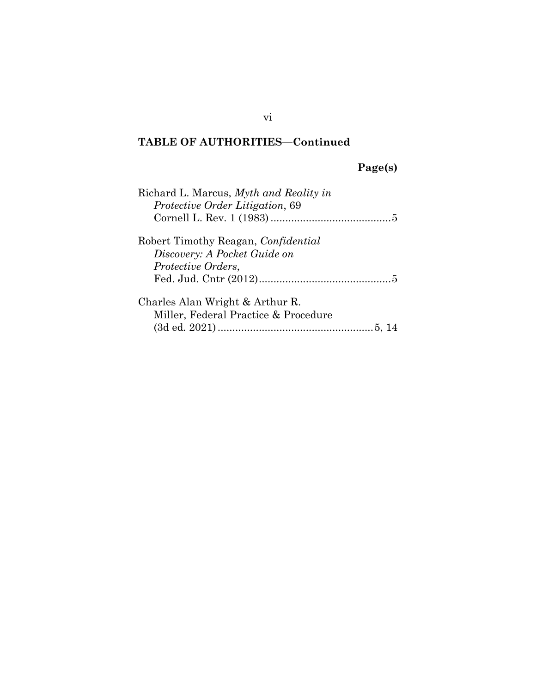# **Page(s)**

| Richard L. Marcus, Myth and Reality in<br><i>Protective Order Litigation, 69</i> |
|----------------------------------------------------------------------------------|
|                                                                                  |
| Robert Timothy Reagan, Confidential                                              |
| Discovery: A Pocket Guide on                                                     |
| <i>Protective Orders,</i>                                                        |
|                                                                                  |
| Charles Alan Wright & Arthur R.                                                  |
| Miller, Federal Practice & Procedure                                             |
|                                                                                  |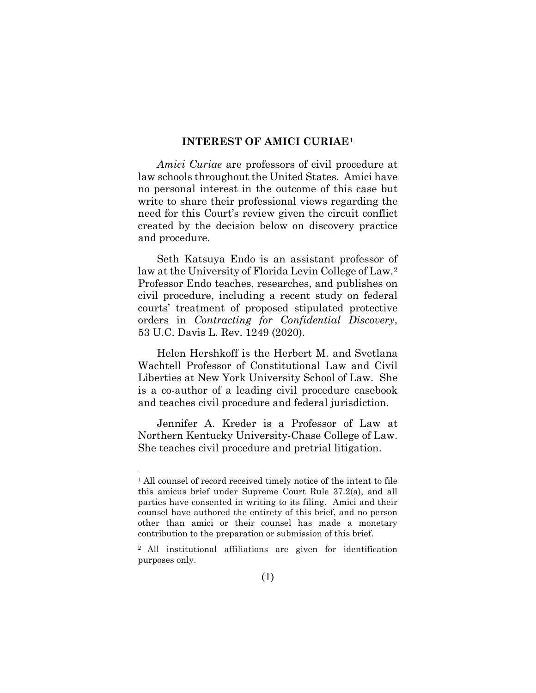#### <span id="page-7-0"></span>**INTEREST OF AMICI CURIAE[1](#page-7-2)**

*Amici Curiae* are professors of civil procedure at law schools throughout the United States. Amici have no personal interest in the outcome of this case but write to share their professional views regarding the need for this Court's review given the circuit conflict created by the decision below on discovery practice and procedure.

Seth Katsuya Endo is an assistant professor of law at the University of Florida Levin College of Law.[2](#page-7-3) Professor Endo teaches, researches, and publishes on civil procedure, including a recent study on federal courts' treatment of proposed stipulated protective orders in *Contracting for Confidential Discovery*, 53 U.C. Davis L. Rev. 1249 (2020).

<span id="page-7-1"></span>Helen Hershkoff is the Herbert M. and Svetlana Wachtell Professor of Constitutional Law and Civil Liberties at New York University School of Law. She is a co-author of a leading civil procedure casebook and teaches civil procedure and federal jurisdiction.

Jennifer A. Kreder is a Professor of Law at Northern Kentucky University-Chase College of Law. She teaches civil procedure and pretrial litigation.

<span id="page-7-2"></span><sup>&</sup>lt;sup>1</sup> All counsel of record received timely notice of the intent to file this amicus brief under Supreme Court Rule 37.2(a), and all parties have consented in writing to its filing. Amici and their counsel have authored the entirety of this brief, and no person other than amici or their counsel has made a monetary contribution to the preparation or submission of this brief.

<span id="page-7-3"></span><sup>2</sup> All institutional affiliations are given for identification purposes only.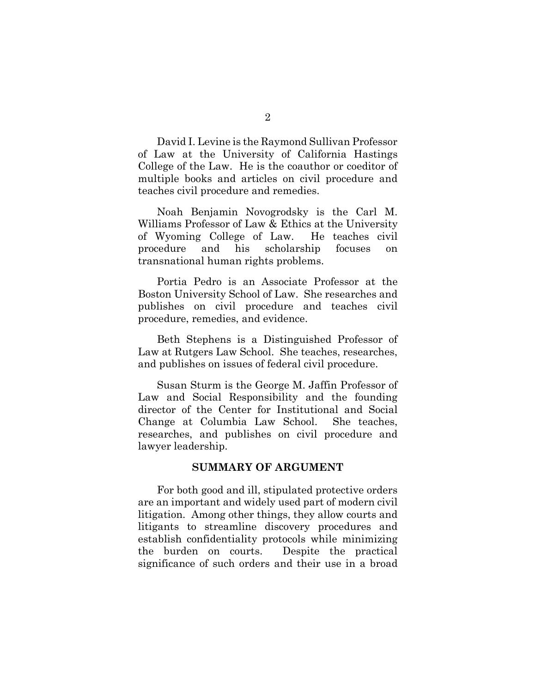David I. Levine is the Raymond Sullivan Professor of Law at the University of California Hastings College of the Law. He is the coauthor or coeditor of multiple books and articles on civil procedure and teaches civil procedure and remedies.

Noah Benjamin Novogrodsky is the Carl M. Williams Professor of Law & Ethics at the University of Wyoming College of Law. He teaches civil procedure and his scholarship focuses on transnational human rights problems.

Portia Pedro is an Associate Professor at the Boston University School of Law. She researches and publishes on civil procedure and teaches civil procedure, remedies, and evidence.

Beth Stephens is a Distinguished Professor of Law at Rutgers Law School. She teaches, researches, and publishes on issues of federal civil procedure.

Susan Sturm is the George M. Jaffin Professor of Law and Social Responsibility and the founding director of the Center for Institutional and Social Change at Columbia Law School. She teaches, researches, and publishes on civil procedure and lawyer leadership.

#### <span id="page-8-0"></span>**SUMMARY OF ARGUMENT**

For both good and ill, stipulated protective orders are an important and widely used part of modern civil litigation. Among other things, they allow courts and litigants to streamline discovery procedures and establish confidentiality protocols while minimizing the burden on courts. Despite the practical significance of such orders and their use in a broad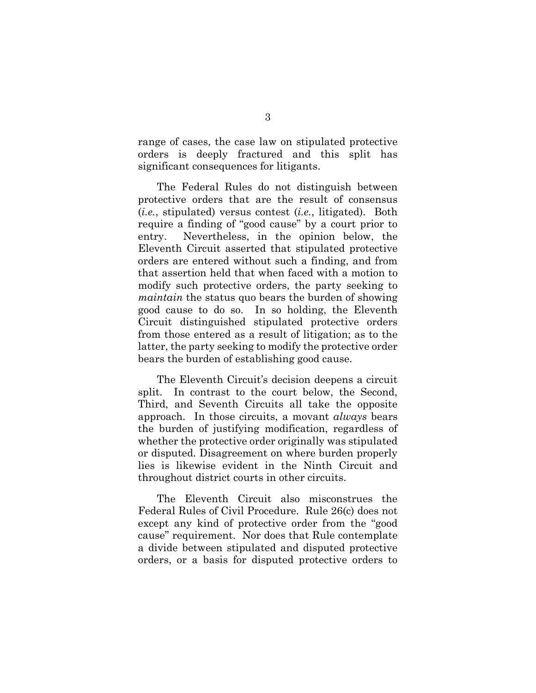range of cases, the case law on stipulated protective orders is deeply fractured and this split has significant consequences for litigants.

The Federal Rules do not distinguish between protective orders that are the result of consensus (*i.e.*, stipulated) versus contest (*i.e.*, litigated). Both require a finding of "good cause" by a court prior to entry. Nevertheless, in the opinion below, the Eleventh Circuit asserted that stipulated protective orders are entered without such a finding, and from that assertion held that when faced with a motion to modify such protective orders, the party seeking to *maintain* the status quo bears the burden of showing good cause to do so. In so holding, the Eleventh Circuit distinguished stipulated protective orders from those entered as a result of litigation; as to the latter, the party seeking to modify the protective order bears the burden of establishing good cause.

The Eleventh Circuit's decision deepens a circuit split. In contrast to the court below, the Second, Third, and Seventh Circuits all take the opposite approach. In those circuits, a movant *always* bears the burden of justifying modification, regardless of whether the protective order originally was stipulated or disputed. Disagreement on where burden properly lies is likewise evident in the Ninth Circuit and throughout district courts in other circuits.

The Eleventh Circuit also misconstrues the Federal Rules of Civil Procedure. Rule 26(c) does not except any kind of protective order from the "good cause" requirement. Nor does that Rule contemplate a divide between stipulated and disputed protective orders, or a basis for disputed protective orders to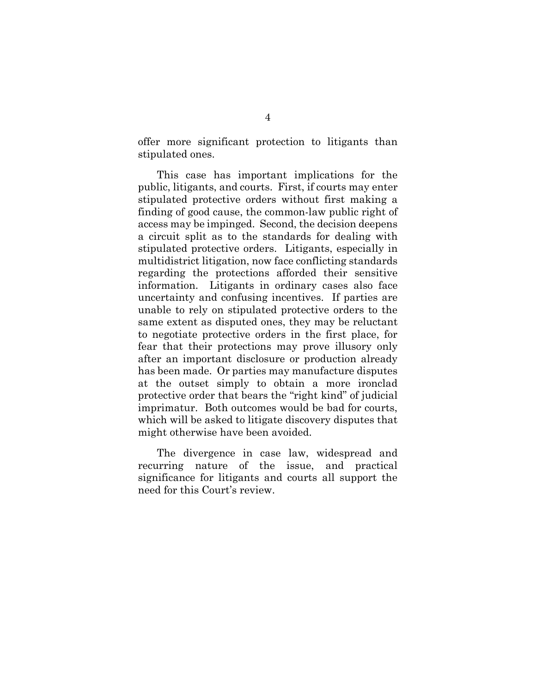offer more significant protection to litigants than stipulated ones.

This case has important implications for the public, litigants, and courts. First, if courts may enter stipulated protective orders without first making a finding of good cause, the common-law public right of access may be impinged. Second, the decision deepens a circuit split as to the standards for dealing with stipulated protective orders. Litigants, especially in multidistrict litigation, now face conflicting standards regarding the protections afforded their sensitive information. Litigants in ordinary cases also face uncertainty and confusing incentives. If parties are unable to rely on stipulated protective orders to the same extent as disputed ones, they may be reluctant to negotiate protective orders in the first place, for fear that their protections may prove illusory only after an important disclosure or production already has been made. Or parties may manufacture disputes at the outset simply to obtain a more ironclad protective order that bears the "right kind" of judicial imprimatur. Both outcomes would be bad for courts, which will be asked to litigate discovery disputes that might otherwise have been avoided.

The divergence in case law, widespread and recurring nature of the issue, and practical significance for litigants and courts all support the need for this Court's review.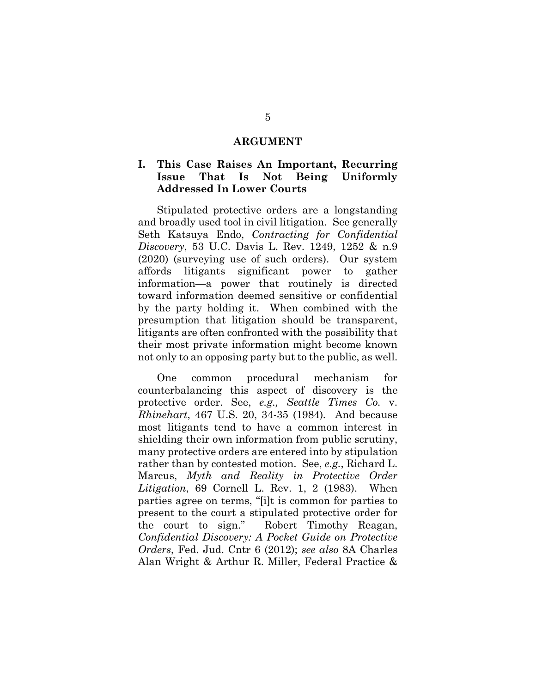#### <span id="page-11-1"></span><span id="page-11-0"></span>**ARGUMENT**

#### **I. This Case Raises An Important, Recurring Issue That Is Not Being Uniformly Addressed In Lower Courts**

Stipulated protective orders are a longstanding and broadly used tool in civil litigation. See generally Seth Katsuya Endo, *Contracting for Confidential Discovery*, 53 U.C. Davis L. Rev. 1249, 1252 & n.9 (2020) (surveying use of such orders). Our system affords litigants significant power to gather information—a power that routinely is directed toward information deemed sensitive or confidential by the party holding it. When combined with the presumption that litigation should be transparent, litigants are often confronted with the possibility that their most private information might become known not only to an opposing party but to the public, as well.

<span id="page-11-5"></span><span id="page-11-4"></span><span id="page-11-3"></span><span id="page-11-2"></span>One common procedural mechanism for counterbalancing this aspect of discovery is the protective order. See, *e.g., Seattle Times Co.* v. *Rhinehart*, 467 U.S. 20, 34-35 (1984)*.* And because most litigants tend to have a common interest in shielding their own information from public scrutiny, many protective orders are entered into by stipulation rather than by contested motion. See, *e.g.*, Richard L. Marcus, *Myth and Reality in Protective Order Litigation*, 69 Cornell L. Rev. 1, 2 (1983). When parties agree on terms, "[i]t is common for parties to present to the court a stipulated protective order for the court to sign." Robert Timothy Reagan, *Confidential Discovery: A Pocket Guide on Protective Orders*, Fed. Jud. Cntr 6 (2012); *see also* 8A Charles Alan Wright & Arthur R. Miller, Federal Practice &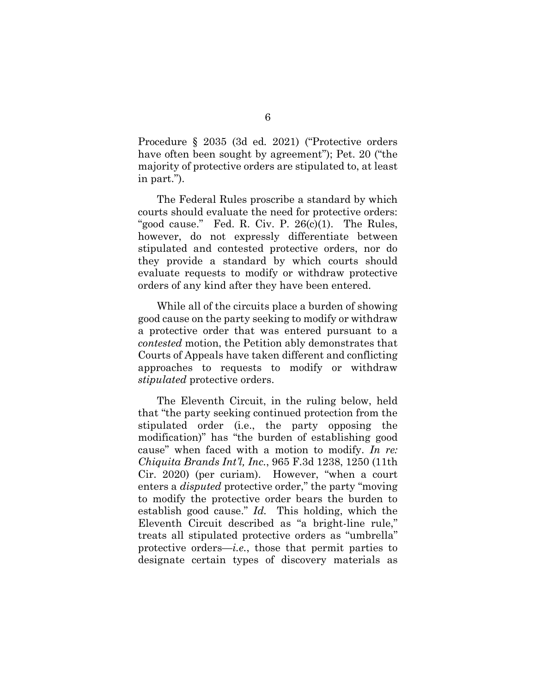Procedure § 2035 (3d ed*.* 2021) ("Protective orders have often been sought by agreement"); Pet. 20 ("the majority of protective orders are stipulated to, at least in part.").

<span id="page-12-1"></span>The Federal Rules proscribe a standard by which courts should evaluate the need for protective orders: "good cause." Fed. R. Civ. P.  $26(c)(1)$ . The Rules, however, do not expressly differentiate between stipulated and contested protective orders, nor do they provide a standard by which courts should evaluate requests to modify or withdraw protective orders of any kind after they have been entered.

While all of the circuits place a burden of showing good cause on the party seeking to modify or withdraw a protective order that was entered pursuant to a *contested* motion, the Petition ably demonstrates that Courts of Appeals have taken different and conflicting approaches to requests to modify or withdraw *stipulated* protective orders.

<span id="page-12-0"></span>The Eleventh Circuit, in the ruling below, held that "the party seeking continued protection from the stipulated order (i.e., the party opposing the modification)" has "the burden of establishing good cause" when faced with a motion to modify. *In re: Chiquita Brands Int'l, Inc.*, 965 F.3d 1238, 1250 (11th Cir. 2020) (per curiam). However, "when a court enters a *disputed* protective order," the party "moving to modify the protective order bears the burden to establish good cause." *Id.* This holding, which the Eleventh Circuit described as "a bright-line rule," treats all stipulated protective orders as "umbrella" protective orders—*i.e.*, those that permit parties to designate certain types of discovery materials as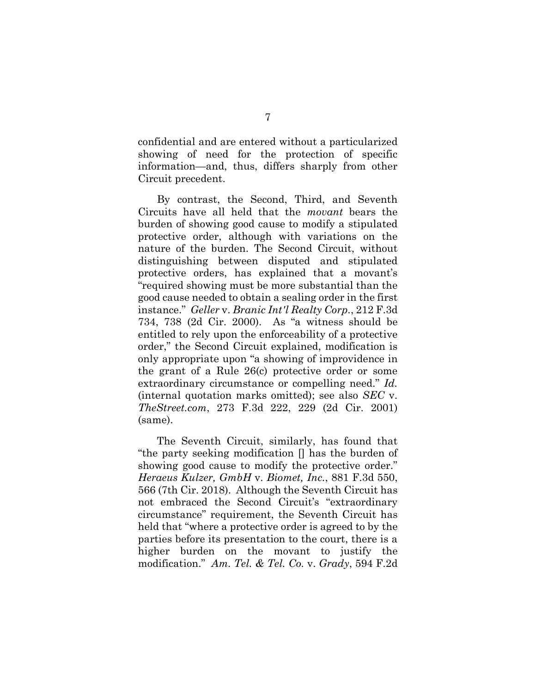confidential and are entered without a particularized showing of need for the protection of specific information—and, thus, differs sharply from other Circuit precedent.

<span id="page-13-1"></span>By contrast, the Second, Third, and Seventh Circuits have all held that the *movant* bears the burden of showing good cause to modify a stipulated protective order, although with variations on the nature of the burden. The Second Circuit, without distinguishing between disputed and stipulated protective orders, has explained that a movant's "required showing must be more substantial than the good cause needed to obtain a sealing order in the first instance." *Geller* v. *Branic Int'l Realty Corp*., 212 F.3d 734, 738 (2d Cir. 2000). As "a witness should be entitled to rely upon the enforceability of a protective order," the Second Circuit explained, modification is only appropriate upon "a showing of improvidence in the grant of a Rule 26(c) protective order or some extraordinary circumstance or compelling need." *Id.*  (internal quotation marks omitted); see also *SEC* v. *TheStreet.com*, 273 F.3d 222, 229 (2d Cir. 2001) (same).

<span id="page-13-3"></span><span id="page-13-2"></span><span id="page-13-0"></span>The Seventh Circuit, similarly, has found that "the party seeking modification [] has the burden of showing good cause to modify the protective order." *Heraeus Kulzer, GmbH* v. *Biomet, Inc.*, 881 F.3d 550, 566 (7th Cir. 2018). Although the Seventh Circuit has not embraced the Second Circuit's "extraordinary circumstance" requirement, the Seventh Circuit has held that "where a protective order is agreed to by the parties before its presentation to the court, there is a higher burden on the movant to justify the modification." *Am. Tel. & Tel. Co.* v. *Grady*, 594 F.2d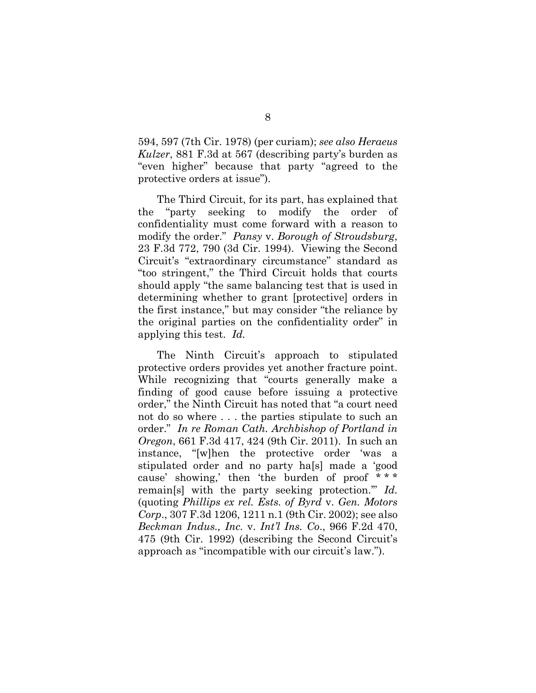<span id="page-14-1"></span>594, 597 (7th Cir. 1978) (per curiam); *see also Heraeus Kulzer*, 881 F.3d at 567 (describing party's burden as "even higher" because that party "agreed to the protective orders at issue").

<span id="page-14-2"></span>The Third Circuit, for its part, has explained that the "party seeking to modify the order of confidentiality must come forward with a reason to modify the order." *Pansy* v. *Borough of Stroudsburg*, 23 F.3d 772, 790 (3d Cir. 1994). Viewing the Second Circuit's "extraordinary circumstance" standard as "too stringent," the Third Circuit holds that courts should apply "the same balancing test that is used in determining whether to grant [protective] orders in the first instance," but may consider "the reliance by the original parties on the confidentiality order" in applying this test. *Id.* 

<span id="page-14-4"></span><span id="page-14-3"></span><span id="page-14-0"></span>The Ninth Circuit's approach to stipulated protective orders provides yet another fracture point. While recognizing that "courts generally make a finding of good cause before issuing a protective order," the Ninth Circuit has noted that "a court need not do so where . . . the parties stipulate to such an order." *In re Roman Cath. Archbishop of Portland in Oregon*, 661 F.3d 417, 424 (9th Cir. 2011). In such an instance, "[w]hen the protective order 'was a stipulated order and no party ha[s] made a 'good cause' showing,' then 'the burden of proof \* \* \* remain[s] with the party seeking protection.'" *Id.* (quoting *Phillips ex rel. Ests. of Byrd* v. *Gen. Motors Corp*., 307 F.3d 1206, 1211 n.1 (9th Cir. 2002); see also *Beckman Indus., Inc.* v. *Int'l Ins. Co*., 966 F.2d 470, 475 (9th Cir. 1992) (describing the Second Circuit's approach as "incompatible with our circuit's law.").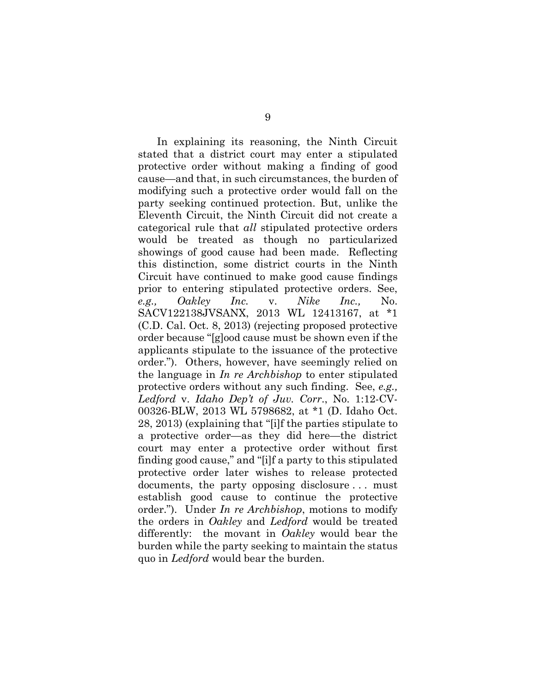<span id="page-15-2"></span><span id="page-15-1"></span><span id="page-15-0"></span>In explaining its reasoning, the Ninth Circuit stated that a district court may enter a stipulated protective order without making a finding of good cause—and that, in such circumstances, the burden of modifying such a protective order would fall on the party seeking continued protection. But, unlike the Eleventh Circuit, the Ninth Circuit did not create a categorical rule that *all* stipulated protective orders would be treated as though no particularized showings of good cause had been made. Reflecting this distinction, some district courts in the Ninth Circuit have continued to make good cause findings prior to entering stipulated protective orders. See, *e.g., Oakley Inc.* v. *Nike Inc.,* No. SACV122138JVSANX, 2013 WL 12413167, at \*1 (C.D. Cal. Oct. 8, 2013) (rejecting proposed protective order because "[g]ood cause must be shown even if the applicants stipulate to the issuance of the protective order."). Others, however, have seemingly relied on the language in *In re Archbishop* to enter stipulated protective orders without any such finding. See, *e.g., Ledford* v. *Idaho Dep't of Juv. Corr*., No. 1:12-CV-00326-BLW, 2013 WL 5798682, at \*1 (D. Idaho Oct. 28, 2013) (explaining that "[i]f the parties stipulate to a protective order—as they did here—the district court may enter a protective order without first finding good cause," and "[i]f a party to this stipulated protective order later wishes to release protected documents, the party opposing disclosure . . . must establish good cause to continue the protective order."). Under *In re Archbishop*, motions to modify the orders in *Oakley* and *Ledford* would be treated differently: the movant in *Oakley* would bear the burden while the party seeking to maintain the status quo in *Ledford* would bear the burden.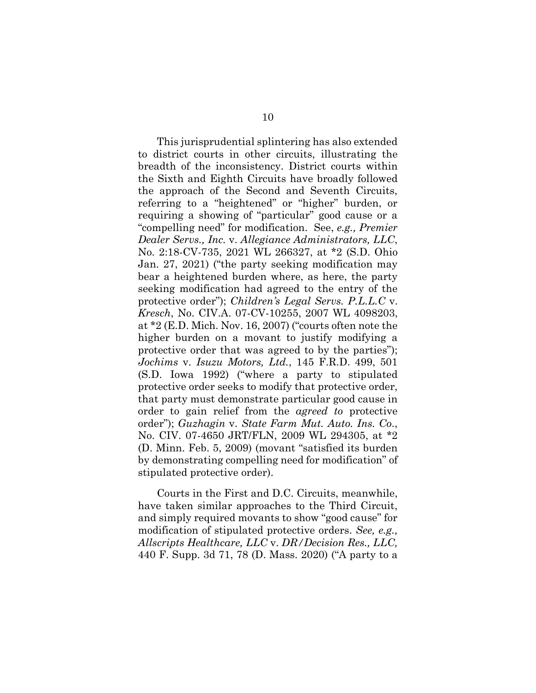<span id="page-16-4"></span><span id="page-16-1"></span>This jurisprudential splintering has also extended to district courts in other circuits, illustrating the breadth of the inconsistency. District courts within the Sixth and Eighth Circuits have broadly followed the approach of the Second and Seventh Circuits, referring to a "heightened" or "higher" burden, or requiring a showing of "particular" good cause or a "compelling need" for modification. See, *e.g., Premier Dealer Servs., Inc.* v. *Allegiance Administrators, LLC*, No. 2:18-CV-735, 2021 WL 266327, at \*2 (S.D. Ohio Jan. 27, 2021) ("the party seeking modification may bear a heightened burden where, as here, the party seeking modification had agreed to the entry of the protective order"); *Children's Legal Servs. P.L.L.C* v. *Kresch*, No. CIV.A. 07-CV-10255, 2007 WL 4098203, at \*2 (E.D. Mich. Nov. 16, 2007) ("courts often note the higher burden on a movant to justify modifying a protective order that was agreed to by the parties"); *Jochims* v. *Isuzu Motors, Ltd.*, 145 F.R.D. 499, 501 (S.D. Iowa 1992) ("where a party to stipulated protective order seeks to modify that protective order, that party must demonstrate particular good cause in order to gain relief from the *agreed to* protective order"); *Guzhagin* v. *State Farm Mut. Auto. Ins. Co*., No. CIV. 07-4650 JRT/FLN, 2009 WL 294305, at \*2 (D. Minn. Feb. 5, 2009) (movant "satisfied its burden by demonstrating compelling need for modification" of stipulated protective order).

<span id="page-16-3"></span><span id="page-16-2"></span><span id="page-16-0"></span>Courts in the First and D.C. Circuits, meanwhile, have taken similar approaches to the Third Circuit, and simply required movants to show "good cause" for modification of stipulated protective orders. *See, e.g., Allscripts Healthcare, LLC* v. *DR/Decision Res., LLC,*  440 F. Supp. 3d 71, 78 (D. Mass. 2020) ("A party to a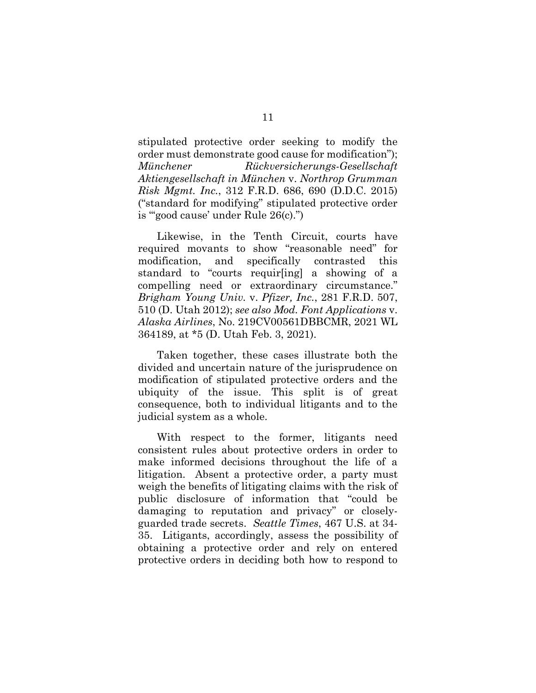<span id="page-17-2"></span>stipulated protective order seeking to modify the order must demonstrate good cause for modification"); *Münchener Rückversicherungs-Gesellschaft Aktiengesellschaft in München* v. *Northrop Grumman Risk Mgmt. Inc.*, 312 F.R.D. 686, 690 (D.D.C. 2015) ("standard for modifying" stipulated protective order is "'good cause' under Rule 26(c).")

Likewise, in the Tenth Circuit, courts have required movants to show "reasonable need" for modification, and specifically contrasted this standard to "courts requir[ing] a showing of a compelling need or extraordinary circumstance." *Brigham Young Univ.* v. *Pfizer, Inc.*, 281 F.R.D. 507, 510 (D. Utah 2012); *see also Mod. Font Applications* v. *Alaska Airlines*, No. 219CV00561DBBCMR, 2021 WL 364189, at \*5 (D. Utah Feb. 3, 2021).

<span id="page-17-1"></span><span id="page-17-0"></span>Taken together, these cases illustrate both the divided and uncertain nature of the jurisprudence on modification of stipulated protective orders and the ubiquity of the issue. This split is of great consequence, both to individual litigants and to the judicial system as a whole.

<span id="page-17-3"></span>With respect to the former, litigants need consistent rules about protective orders in order to make informed decisions throughout the life of a litigation. Absent a protective order, a party must weigh the benefits of litigating claims with the risk of public disclosure of information that "could be damaging to reputation and privacy" or closelyguarded trade secrets. *Seattle Times*, 467 U.S. at 34- 35. Litigants, accordingly, assess the possibility of obtaining a protective order and rely on entered protective orders in deciding both how to respond to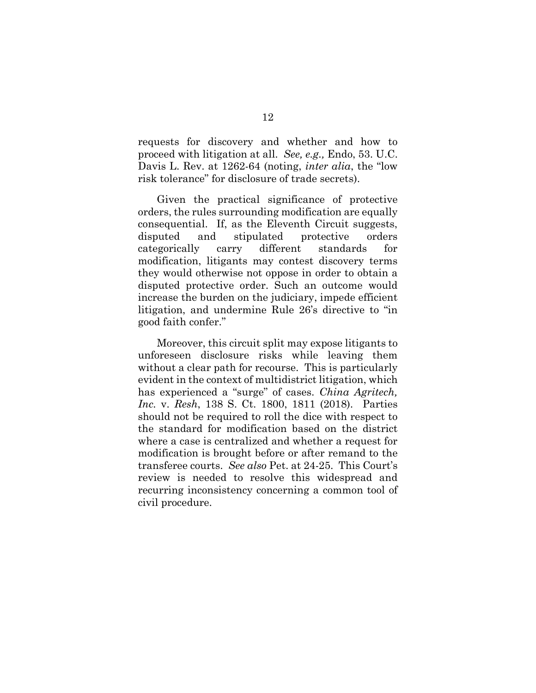requests for discovery and whether and how to proceed with litigation at all. *See, e.g.,* Endo, 53. U.C. Davis L. Rev. at 1262-64 (noting, *inter alia*, the "low risk tolerance" for disclosure of trade secrets).

Given the practical significance of protective orders, the rules surrounding modification are equally consequential. If, as the Eleventh Circuit suggests, disputed and stipulated protective orders categorically carry different standards for modification, litigants may contest discovery terms they would otherwise not oppose in order to obtain a disputed protective order. Such an outcome would increase the burden on the judiciary, impede efficient litigation, and undermine Rule 26's directive to "in good faith confer."

<span id="page-18-0"></span>Moreover, this circuit split may expose litigants to unforeseen disclosure risks while leaving them without a clear path for recourse. This is particularly evident in the context of multidistrict litigation, which has experienced a "surge" of cases. *China Agritech, Inc.* v. *Resh*, 138 S. Ct. 1800, 1811 (2018). Parties should not be required to roll the dice with respect to the standard for modification based on the district where a case is centralized and whether a request for modification is brought before or after remand to the transferee courts. *See also* Pet. at 24-25. This Court's review is needed to resolve this widespread and recurring inconsistency concerning a common tool of civil procedure.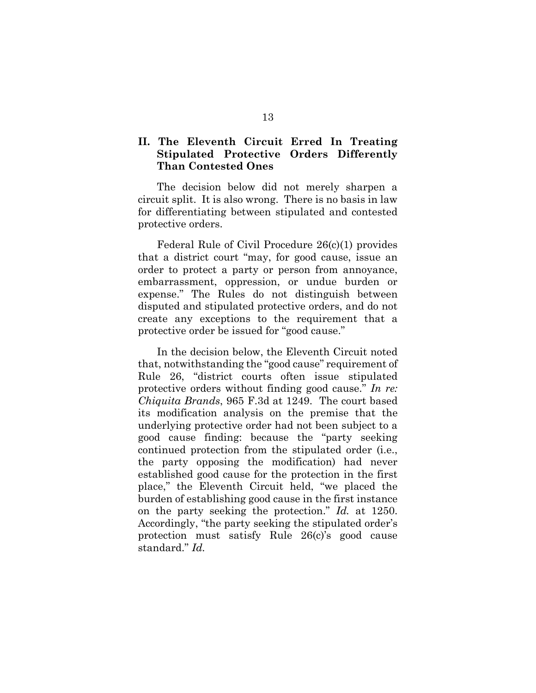#### **II. The Eleventh Circuit Erred In Treating Stipulated Protective Orders Differently Than Contested Ones**

<span id="page-19-0"></span>The decision below did not merely sharpen a circuit split. It is also wrong. There is no basis in law for differentiating between stipulated and contested protective orders.

Federal Rule of Civil Procedure 26(c)(1) provides that a district court "may, for good cause, issue an order to protect a party or person from annoyance, embarrassment, oppression, or undue burden or expense." The Rules do not distinguish between disputed and stipulated protective orders, and do not create any exceptions to the requirement that a protective order be issued for "good cause."

<span id="page-19-1"></span>In the decision below, the Eleventh Circuit noted that, notwithstanding the "good cause" requirement of Rule 26, "district courts often issue stipulated protective orders without finding good cause." *In re: Chiquita Brands*, 965 F.3d at 1249. The court based its modification analysis on the premise that the underlying protective order had not been subject to a good cause finding: because the "party seeking continued protection from the stipulated order (i.e., the party opposing the modification) had never established good cause for the protection in the first place," the Eleventh Circuit held, "we placed the burden of establishing good cause in the first instance on the party seeking the protection." *Id.* at 1250. Accordingly, "the party seeking the stipulated order's protection must satisfy Rule 26(c)'s good cause standard." *Id.*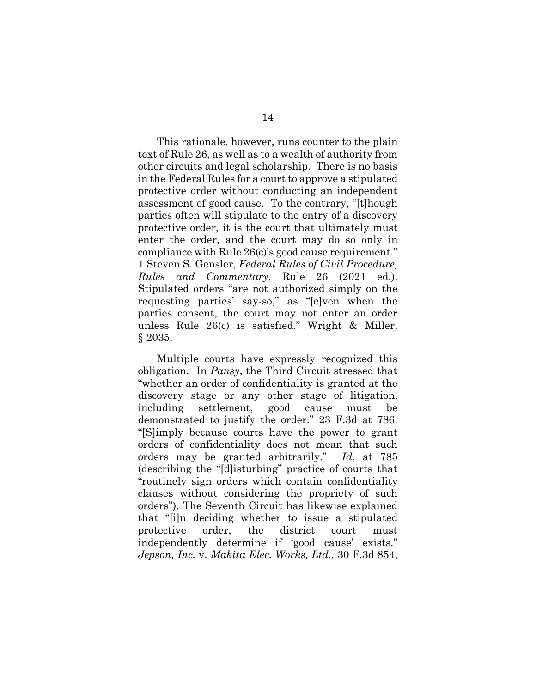This rationale, however, runs counter to the plain text of Rule 26, as well as to a wealth of authority from other circuits and legal scholarship. There is no basis in the Federal Rules for a court to approve a stipulated protective order without conducting an independent assessment of good cause. To the contrary, "[t]hough parties often will stipulate to the entry of a discovery protective order, it is the court that ultimately must enter the order, and the court may do so only in compliance with Rule 26(c)'s good cause requirement." 1 Steven S. Gensler, *Federal Rules of Civil Procedure, Rules and Commentary*, Rule 26 (2021 ed.). Stipulated orders "are not authorized simply on the requesting parties' say-so," as "[e]ven when the parties consent, the court may not enter an order unless Rule 26(c) is satisfied." Wright & Miller, § 2035.

<span id="page-20-3"></span><span id="page-20-2"></span><span id="page-20-1"></span><span id="page-20-0"></span>Multiple courts have expressly recognized this obligation. In *Pansy*, the Third Circuit stressed that "whether an order of confidentiality is granted at the discovery stage or any other stage of litigation, including settlement, good cause must be demonstrated to justify the order." 23 F.3d at 786. "[S]imply because courts have the power to grant orders of confidentiality does not mean that such orders may be granted arbitrarily." *Id.* at 785 (describing the "[d]isturbing" practice of courts that "routinely sign orders which contain confidentiality clauses without considering the propriety of such orders"). The Seventh Circuit has likewise explained that "[i]n deciding whether to issue a stipulated protective order, the district court must independently determine if 'good cause' exists." *Jepson, Inc.* v. *Makita Elec. Works, Ltd.,* 30 F.3d 854,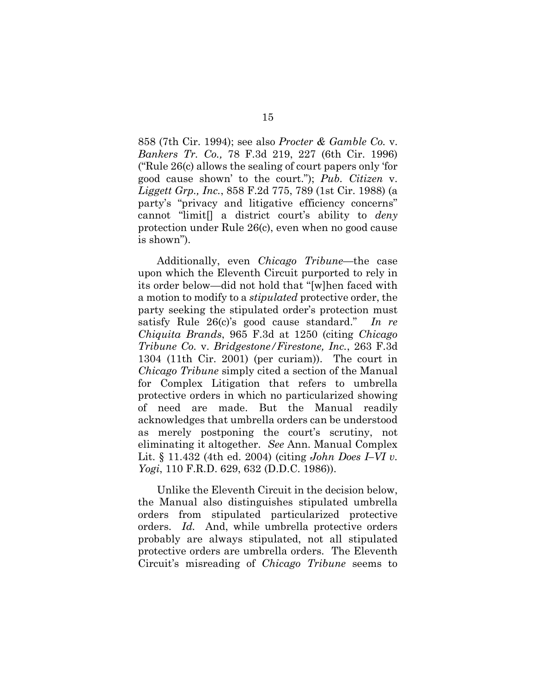<span id="page-21-4"></span><span id="page-21-3"></span>858 (7th Cir. 1994); see also *Procter & Gamble Co.* v. *Bankers Tr. Co.,* 78 F.3d 219, 227 (6th Cir. 1996) ("Rule 26(c) allows the sealing of court papers only 'for good cause shown' to the court."); *Pub. Citizen* v. *Liggett Grp., Inc.*, 858 F.2d 775, 789 (1st Cir. 1988) (a party's "privacy and litigative efficiency concerns" cannot "limit[] a district court's ability to *deny* protection under Rule 26(c), even when no good cause is shown").

<span id="page-21-2"></span><span id="page-21-0"></span>Additionally, even *Chicago Tribune*—the case upon which the Eleventh Circuit purported to rely in its order below—did not hold that "[w]hen faced with a motion to modify to a *stipulated* protective order, the party seeking the stipulated order's protection must satisfy Rule 26(c)'s good cause standard." *In re Chiquita Brands*, 965 F.3d at 1250 (citing *Chicago Tribune Co.* v. *Bridgestone/Firestone, Inc.*, 263 F.3d 1304 (11th Cir. 2001) (per curiam)). The court in *Chicago Tribune* simply cited a section of the Manual for Complex Litigation that refers to umbrella protective orders in which no particularized showing of need are made. But the Manual readily acknowledges that umbrella orders can be understood as merely postponing the court's scrutiny, not eliminating it altogether. *See* Ann. Manual Complex Lit. § 11.432 (4th ed. 2004) (citing *John Does I–VI v. Yogi*, 110 F.R.D. 629, 632 (D.D.C. 1986)).

<span id="page-21-5"></span><span id="page-21-1"></span>Unlike the Eleventh Circuit in the decision below, the Manual also distinguishes stipulated umbrella orders from stipulated particularized protective orders. *Id.* And, while umbrella protective orders probably are always stipulated, not all stipulated protective orders are umbrella orders. The Eleventh Circuit's misreading of *Chicago Tribune* seems to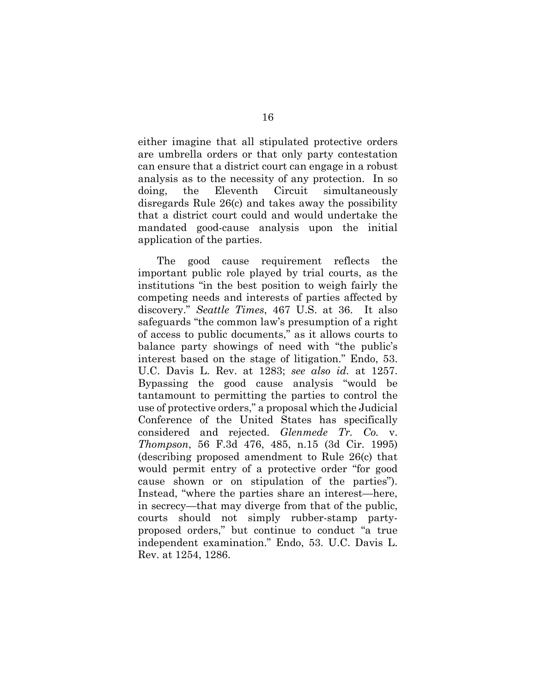either imagine that all stipulated protective orders are umbrella orders or that only party contestation can ensure that a district court can engage in a robust analysis as to the necessity of any protection. In so doing, the Eleventh Circuit simultaneously disregards Rule 26(c) and takes away the possibility that a district court could and would undertake the mandated good-cause analysis upon the initial application of the parties.

<span id="page-22-1"></span><span id="page-22-0"></span>The good cause requirement reflects the important public role played by trial courts, as the institutions "in the best position to weigh fairly the competing needs and interests of parties affected by discovery." *Seattle Times*, 467 U.S. at 36. It also safeguards "the common law's presumption of a right of access to public documents," as it allows courts to balance party showings of need with "the public's interest based on the stage of litigation." Endo, 53. U.C. Davis L. Rev. at 1283; *see also id.* at 1257. Bypassing the good cause analysis "would be tantamount to permitting the parties to control the use of protective orders," a proposal which the Judicial Conference of the United States has specifically considered and rejected. *Glenmede Tr. Co.* v. *Thompson*, 56 F.3d 476, 485, n.15 (3d Cir. 1995) (describing proposed amendment to Rule 26(c) that would permit entry of a protective order "for good cause shown or on stipulation of the parties"). Instead, "where the parties share an interest—here, in secrecy—that may diverge from that of the public, courts should not simply rubber-stamp partyproposed orders," but continue to conduct "a true independent examination." Endo, 53. U.C. Davis L. Rev. at 1254, 1286.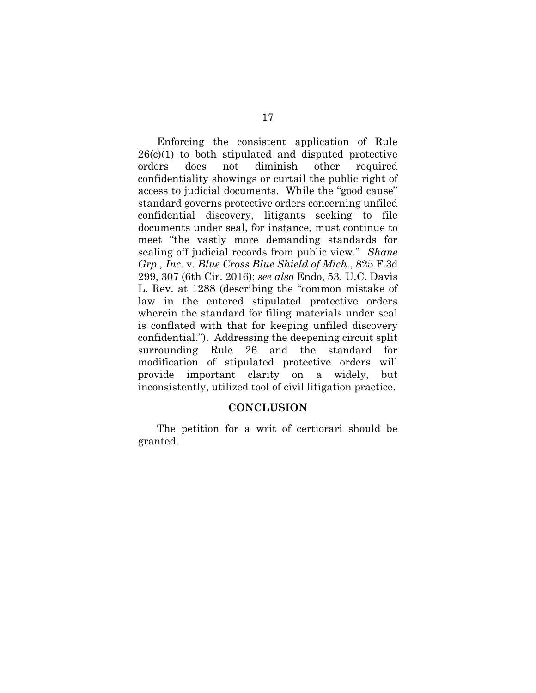Enforcing the consistent application of Rule  $26(c)(1)$  to both stipulated and disputed protective orders does not diminish other required confidentiality showings or curtail the public right of access to judicial documents. While the "good cause" standard governs protective orders concerning unfiled confidential discovery, litigants seeking to file documents under seal, for instance, must continue to meet "the vastly more demanding standards for sealing off judicial records from public view." *Shane Grp., Inc.* v. *Blue Cross Blue Shield of Mich*., 825 F.3d 299, 307 (6th Cir. 2016); *see also* Endo, 53. U.C. Davis L. Rev. at 1288 (describing the "common mistake of law in the entered stipulated protective orders wherein the standard for filing materials under seal is conflated with that for keeping unfiled discovery confidential."). Addressing the deepening circuit split surrounding Rule 26 and the standard for modification of stipulated protective orders will provide important clarity on a widely, but inconsistently, utilized tool of civil litigation practice.

#### <span id="page-23-1"></span><span id="page-23-0"></span>**CONCLUSION**

The petition for a writ of certiorari should be granted.